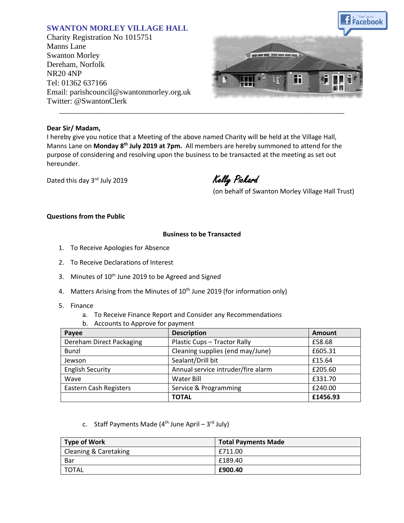# **SWANTON MORLEY VILLAGE HALL**

Charity Registration No 1015751 Manns Lane Swanton Morley Dereham, Norfolk NR20 4NP Tel: 01362 637166 Email: parishcouncil@swantonmorley.org.uk Twitter: @SwantonClerk



### **Dear Sir/ Madam,**

I hereby give you notice that a Meeting of the above named Charity will be held at the Village Hall, Manns Lane on **Monday 8 th July 2019 at 7pm.** All members are hereby summoned to attend for the purpose of considering and resolving upon the business to be transacted at the meeting as set out hereunder.

\_\_\_\_\_\_\_\_\_\_\_\_\_\_\_\_\_\_\_\_\_\_\_\_\_\_\_\_\_\_\_\_\_\_\_\_\_\_\_\_\_\_\_\_\_\_\_\_\_\_\_\_\_\_\_\_\_\_\_\_\_\_\_\_\_\_\_\_\_\_\_\_

Dated this day 3rd July 2019

Kelly Pickard

(on behalf of Swanton Morley Village Hall Trust)

## **Questions from the Public**

### **Business to be Transacted**

- 1. To Receive Apologies for Absence
- 2. To Receive Declarations of Interest
- 3. Minutes of 10<sup>th</sup> June 2019 to be Agreed and Signed
- 4. Matters Arising from the Minutes of 10<sup>th</sup> June 2019 (for information only)
- 5. Finance
	- a. To Receive Finance Report and Consider any Recommendations
	- b. Accounts to Approve for payment

| Payee                    | <b>Description</b>                 | Amount   |
|--------------------------|------------------------------------|----------|
| Dereham Direct Packaging | Plastic Cups - Tractor Rally       | £58.68   |
| Bunzl                    | Cleaning supplies (end may/June)   | £605.31  |
| Jewson                   | Sealant/Drill bit                  | £15.64   |
| <b>English Security</b>  | Annual service intruder/fire alarm | £205.60  |
| Wave                     | Water Bill                         | £331.70  |
| Eastern Cash Registers   | Service & Programming              | £240.00  |
|                          | <b>TOTAL</b>                       | £1456.93 |

c. Staff Payments Made (4<sup>th</sup> June April – 3<sup>rd</sup> July)

| <b>Type of Work</b>              | <b>Total Payments Made</b> |
|----------------------------------|----------------------------|
| <b>Cleaning &amp; Caretaking</b> | £711.00                    |
| Bar                              | £189.40                    |
| ' TOTAL                          | £900.40                    |